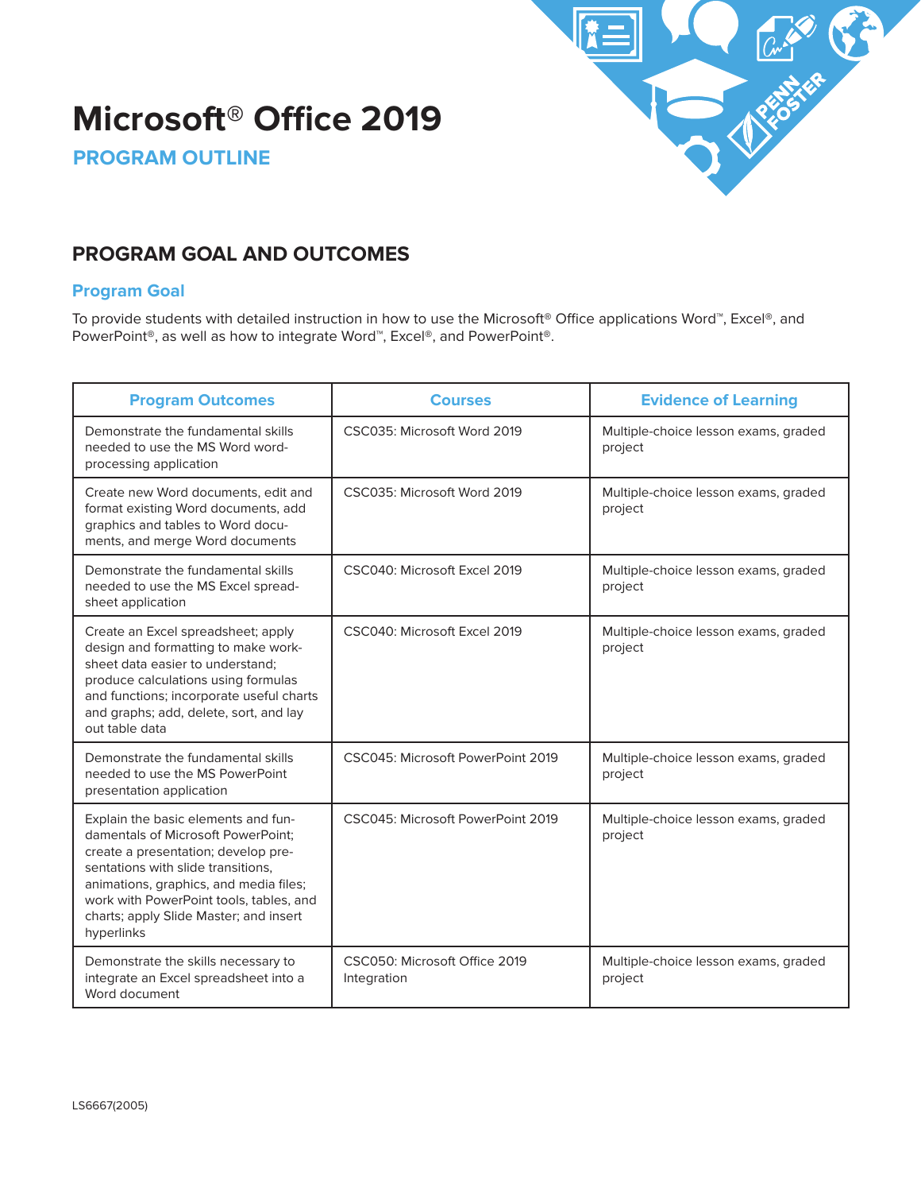# **Microsoft® Office 2019**



**PROGRAM OUTLINE**

# **PROGRAM GOAL AND OUTCOMES**

## **Program Goal**

To provide students with detailed instruction in how to use the Microsoft**®** Office applications Word™, Excel**®**, and PowerPoint**®**, as well as how to integrate Word™, Excel**®**, and PowerPoint**®**.

| <b>Program Outcomes</b>                                                                                                                                                                                                                                                                             | <b>Courses</b>                               | <b>Evidence of Learning</b>                     |
|-----------------------------------------------------------------------------------------------------------------------------------------------------------------------------------------------------------------------------------------------------------------------------------------------------|----------------------------------------------|-------------------------------------------------|
| Demonstrate the fundamental skills<br>needed to use the MS Word word-<br>processing application                                                                                                                                                                                                     | CSC035: Microsoft Word 2019                  | Multiple-choice lesson exams, graded<br>project |
| Create new Word documents, edit and<br>format existing Word documents, add<br>graphics and tables to Word docu-<br>ments, and merge Word documents                                                                                                                                                  | CSC035: Microsoft Word 2019                  | Multiple-choice lesson exams, graded<br>project |
| Demonstrate the fundamental skills<br>needed to use the MS Excel spread-<br>sheet application                                                                                                                                                                                                       | CSC040: Microsoft Excel 2019                 | Multiple-choice lesson exams, graded<br>project |
| Create an Excel spreadsheet; apply<br>design and formatting to make work-<br>sheet data easier to understand:<br>produce calculations using formulas<br>and functions; incorporate useful charts<br>and graphs; add, delete, sort, and lay<br>out table data                                        | CSC040: Microsoft Excel 2019                 | Multiple-choice lesson exams, graded<br>project |
| Demonstrate the fundamental skills<br>needed to use the MS PowerPoint<br>presentation application                                                                                                                                                                                                   | CSC045: Microsoft PowerPoint 2019            | Multiple-choice lesson exams, graded<br>project |
| Explain the basic elements and fun-<br>damentals of Microsoft PowerPoint:<br>create a presentation; develop pre-<br>sentations with slide transitions,<br>animations, graphics, and media files;<br>work with PowerPoint tools, tables, and<br>charts; apply Slide Master; and insert<br>hyperlinks | CSC045: Microsoft PowerPoint 2019            | Multiple-choice lesson exams, graded<br>project |
| Demonstrate the skills necessary to<br>integrate an Excel spreadsheet into a<br>Word document                                                                                                                                                                                                       | CSC050: Microsoft Office 2019<br>Integration | Multiple-choice lesson exams, graded<br>project |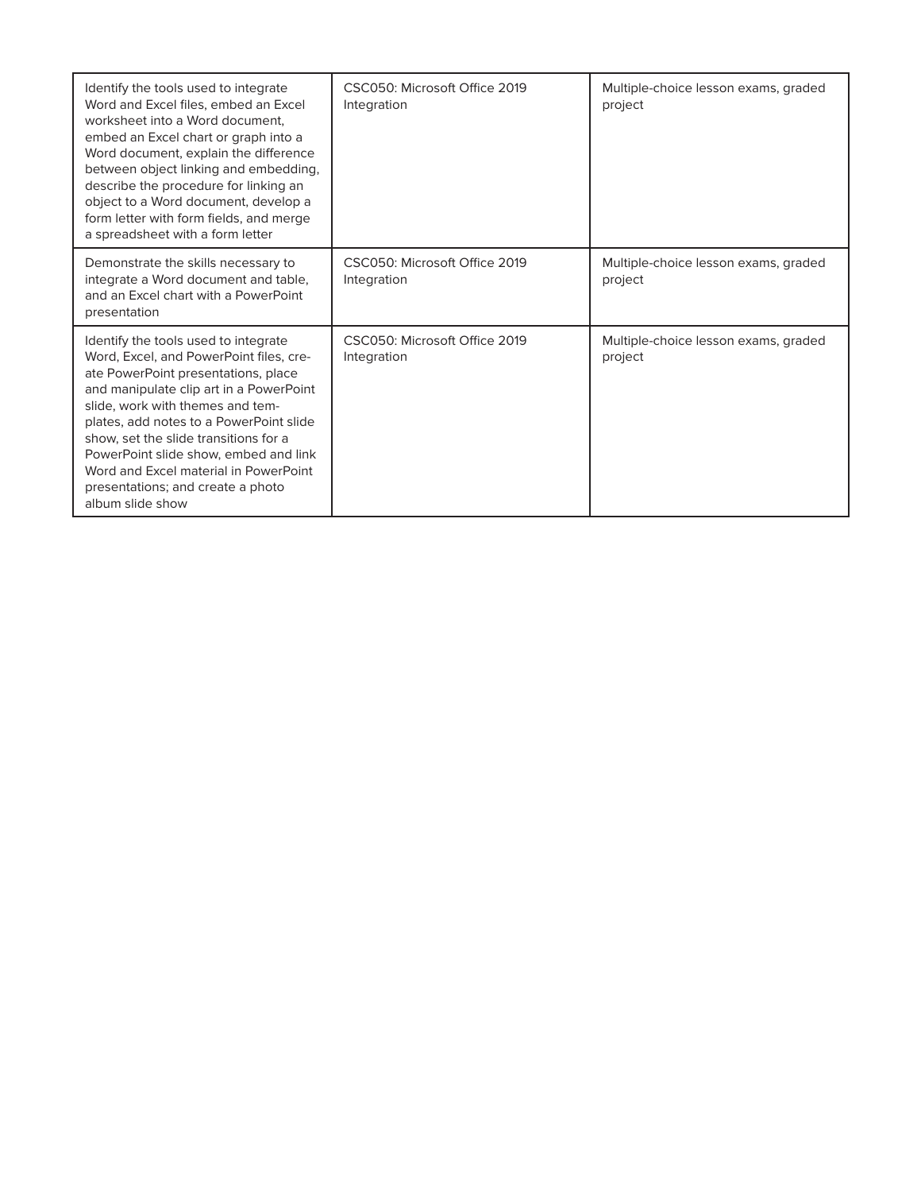| Identify the tools used to integrate<br>Word and Excel files, embed an Excel<br>worksheet into a Word document.<br>embed an Excel chart or graph into a<br>Word document, explain the difference<br>between object linking and embedding,<br>describe the procedure for linking an<br>object to a Word document, develop a<br>form letter with form fields, and merge<br>a spreadsheet with a form letter                            | CSC050: Microsoft Office 2019<br>Integration | Multiple-choice lesson exams, graded<br>project |
|--------------------------------------------------------------------------------------------------------------------------------------------------------------------------------------------------------------------------------------------------------------------------------------------------------------------------------------------------------------------------------------------------------------------------------------|----------------------------------------------|-------------------------------------------------|
| Demonstrate the skills necessary to<br>integrate a Word document and table,<br>and an Excel chart with a PowerPoint<br>presentation                                                                                                                                                                                                                                                                                                  | CSC050: Microsoft Office 2019<br>Integration | Multiple-choice lesson exams, graded<br>project |
| Identify the tools used to integrate<br>Word, Excel, and PowerPoint files, cre-<br>ate PowerPoint presentations, place<br>and manipulate clip art in a PowerPoint<br>slide, work with themes and tem-<br>plates, add notes to a PowerPoint slide<br>show, set the slide transitions for a<br>PowerPoint slide show, embed and link<br>Word and Excel material in PowerPoint<br>presentations; and create a photo<br>album slide show | CSC050: Microsoft Office 2019<br>Integration | Multiple-choice lesson exams, graded<br>project |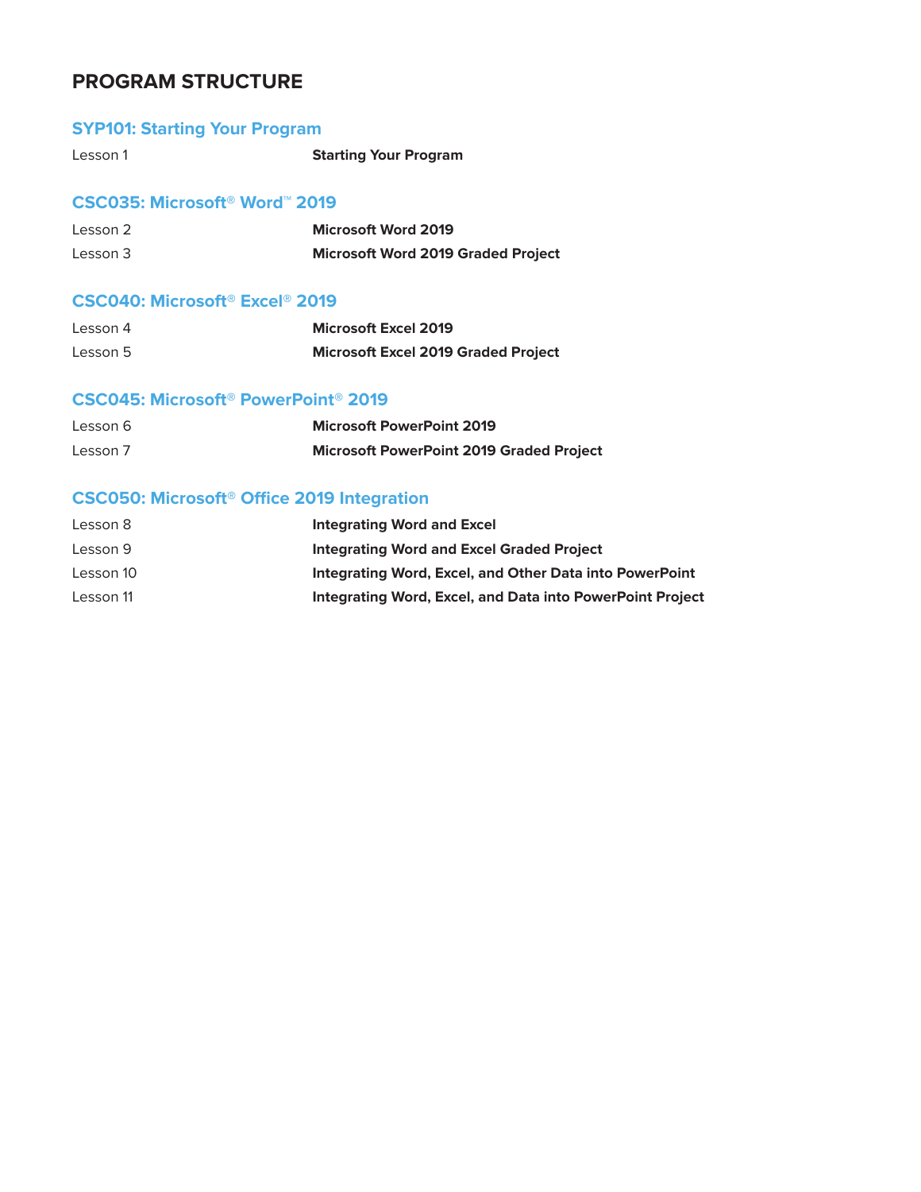# **PROGRAM STRUCTURE**

## **SYP101: Starting Your Program**

| Lesson 1 | <b>Starting Your Program</b> |
|----------|------------------------------|
|          |                              |

### **CSC035: Microsoft® Word**™ **2019**

| Lesson 2 | <b>Microsoft Word 2019</b>                |
|----------|-------------------------------------------|
| Lesson 3 | <b>Microsoft Word 2019 Graded Project</b> |

### **CSC040: Microsoft® Excel® 2019**

| Lesson 4 | <b>Microsoft Excel 2019</b>                |
|----------|--------------------------------------------|
| Lesson 5 | <b>Microsoft Excel 2019 Graded Project</b> |

### **CSC045: Microsoft® PowerPoint® 2019**

| Lesson 6 | <b>Microsoft PowerPoint 2019</b>                |
|----------|-------------------------------------------------|
| Lesson 7 | <b>Microsoft PowerPoint 2019 Graded Project</b> |

# **CSC050: Microsoft® Office 2019 Integration**

| Lesson 8  | Integrating Word and Excel                                       |
|-----------|------------------------------------------------------------------|
| Lesson 9  | Integrating Word and Excel Graded Project                        |
| Lesson 10 | Integrating Word, Excel, and Other Data into PowerPoint          |
| Lesson 11 | <b>Integrating Word, Excel, and Data into PowerPoint Project</b> |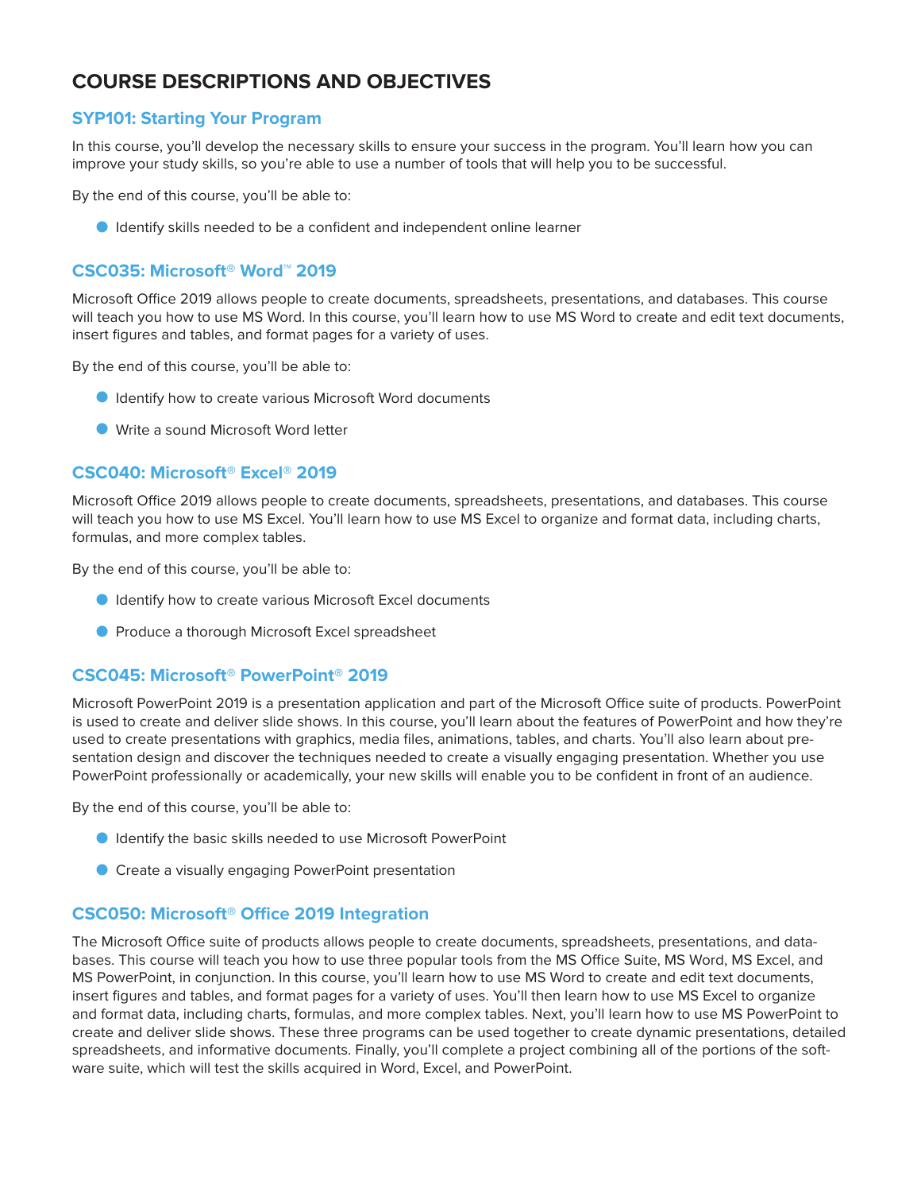# **COURSE DESCRIPTIONS AND OBJECTIVES**

### **SYP101: Starting Your Program**

In this course, you'll develop the necessary skills to ensure your success in the program. You'll learn how you can improve your study skills, so you're able to use a number of tools that will help you to be successful.

By the end of this course, you'll be able to:

O Identify skills needed to be a confident and independent online learner

### **CSC035: Microsoft® Word™ 2019**

Microsoft Office 2019 allows people to create documents, spreadsheets, presentations, and databases. This course will teach you how to use MS Word. In this course, you'll learn how to use MS Word to create and edit text documents, insert figures and tables, and format pages for a variety of uses.

By the end of this course, you'll be able to:

- O Identify how to create various Microsoft Word documents
- O Write a sound Microsoft Word letter

#### **CSC040: Microsoft® Excel® 2019**

Microsoft Office 2019 allows people to create documents, spreadsheets, presentations, and databases. This course will teach you how to use MS Excel. You'll learn how to use MS Excel to organize and format data, including charts, formulas, and more complex tables.

By the end of this course, you'll be able to:

- O Identify how to create various Microsoft Excel documents
- **O** Produce a thorough Microsoft Excel spreadsheet

#### **CSC045: Microsoft® PowerPoint® 2019**

Microsoft PowerPoint 2019 is a presentation application and part of the Microsoft Office suite of products. PowerPoint is used to create and deliver slide shows. In this course, you'll learn about the features of PowerPoint and how they're used to create presentations with graphics, media files, animations, tables, and charts. You'll also learn about presentation design and discover the techniques needed to create a visually engaging presentation. Whether you use PowerPoint professionally or academically, your new skills will enable you to be confident in front of an audience.

By the end of this course, you'll be able to:

- O Identify the basic skills needed to use Microsoft PowerPoint
- O Create a visually engaging PowerPoint presentation

#### **CSC050: Microsoft® Office 2019 Integration**

The Microsoft Office suite of products allows people to create documents, spreadsheets, presentations, and databases. This course will teach you how to use three popular tools from the MS Office Suite, MS Word, MS Excel, and MS PowerPoint, in conjunction. In this course, you'll learn how to use MS Word to create and edit text documents, insert figures and tables, and format pages for a variety of uses. You'll then learn how to use MS Excel to organize and format data, including charts, formulas, and more complex tables. Next, you'll learn how to use MS PowerPoint to create and deliver slide shows. These three programs can be used together to create dynamic presentations, detailed spreadsheets, and informative documents. Finally, you'll complete a project combining all of the portions of the software suite, which will test the skills acquired in Word, Excel, and PowerPoint.